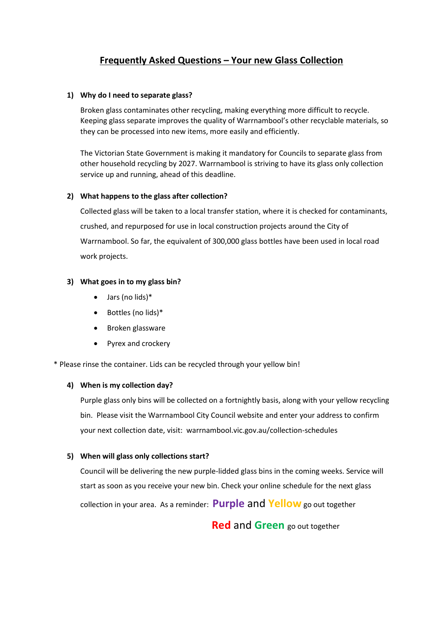# **Frequently Asked Questions – Your new Glass Collection**

#### **1) Why do I need to separate glass?**

Broken glass contaminates other recycling, making everything more difficult to recycle. Keeping glass separate improves the quality of Warrnambool's other recyclable materials, so they can be processed into new items, more easily and efficiently.

The Victorian State Government is making it mandatory for Councils to separate glass from other household recycling by 2027. Warrnambool is striving to have its glass only collection service up and running, ahead of this deadline.

### **2) What happens to the glass after collection?**

Collected glass will be taken to a local transfer station, where it is checked for contaminants, crushed, and repurposed for use in local construction projects around the City of Warrnambool. So far, the equivalent of 300,000 glass bottles have been used in local road work projects.

### **3) What goes in to my glass bin?**

- $\bullet$  Jars (no lids)\*
- Bottles (no lids)\*
- Broken glassware
- Pyrex and crockery

\* Please rinse the container. Lids can be recycled through your yellow bin!

# **4) When is my collection day?**

Purple glass only bins will be collected on a fortnightly basis, along with your yellow recycling bin. Please visit the Warrnambool City Council website and enter your address to confirm your next collection date, visit: warrnambool.vic.gov.au/collection-schedules

# **5) When will glass only collections start?**

Council will be delivering the new purple-lidded glass bins in the coming weeks. Service will start as soon as you receive your new bin. Check your online schedule for the next glass collection in your area. As a reminder: **Purple** and **Yellow** go out together

 **Red** and **Green** go out together